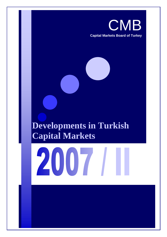

# **Developments in Turkish Capital Markets**

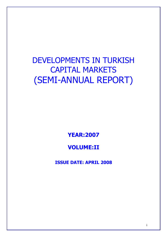# DEVELOPMENTS IN TURKISH CAPITAL MARKETS (SEMI-ANNUAL REPORT)

**YEAR:2007** 

# **VOLUME:II**

**ISSUE DATE: APRIL 2008**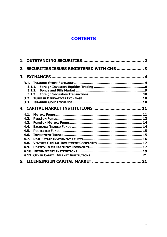## **CONTENTS**

| SECURITIES ISSUES REGISTERED WITH CMB  3<br>2. |  |
|------------------------------------------------|--|
|                                                |  |
|                                                |  |
|                                                |  |
|                                                |  |
|                                                |  |
|                                                |  |
|                                                |  |
|                                                |  |
| 4.1.                                           |  |
| 4.2.                                           |  |
| 4.3.                                           |  |
| 4.4.                                           |  |
| 4.5.                                           |  |
| 4.6.                                           |  |
|                                                |  |
| 4.7.                                           |  |
| 4.8.                                           |  |
| <b>4.9.</b>                                    |  |
|                                                |  |
|                                                |  |
|                                                |  |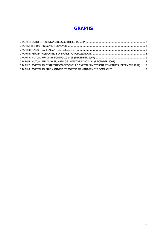## **GRAPHS**

| GRAPH 7: PORTFOLIO DISTRIBUTION OF VENTURE CAPITAL INVESTMENT COMPANIES (DECEMBER 2007)17 |  |
|-------------------------------------------------------------------------------------------|--|
|                                                                                           |  |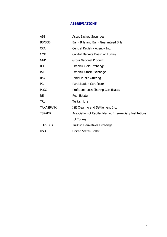#### **ABBREVIATIONS**

| <b>ABS</b>       | : Asset Backed Securities                                 |
|------------------|-----------------------------------------------------------|
| BB/BGB           | : Bank Bills and Bank Guaranteed Bills                    |
| <b>CRA</b>       | : Central Registry Agency Inc.                            |
| <b>CMB</b>       | : Capital Markets Board of Turkey                         |
| <b>GNP</b>       | : Gross National Product                                  |
| <b>IGE</b>       | : Istanbul Gold Exchange                                  |
| <b>ISE</b>       | : Istanbul Stock Exchange                                 |
| <b>IPO</b>       | : Initial Public Offering                                 |
| PC               | : Participation Certificate                               |
| <b>PLSC</b>      | : Profit and Loss Sharing Certificates                    |
| <b>RE</b>        | : Real Estate                                             |
| <b>TRL</b>       | : Turkish Lira                                            |
| <b>TAKASBANK</b> | : ISE Clearing and Settlement Inc.                        |
| <b>TSPAKB</b>    | : Association of Capital Market Intermediary Institutions |
|                  | of Turkey                                                 |
| <b>TURKDEX</b>   | : Turkish Derivatives Exchange                            |
| <b>USD</b>       | : United States Dollar                                    |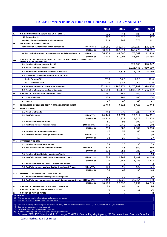|       |                                                                                                                             | 2004         | 2005      | 2006         | 2007         |
|-------|-----------------------------------------------------------------------------------------------------------------------------|--------------|-----------|--------------|--------------|
| Τ.    | NO. OF COMPANIES REGISTERED WITH CMB (1)                                                                                    | 625          | 614       | 605          | 593          |
|       | ISE Companies (2)                                                                                                           | 307          | 316       | 329          | 332          |
|       | Number of non listed registered companies                                                                                   | 318          | 298       | 276          | 261          |
| п.    | <b>ISE MARKET CAPITALIZATION</b>                                                                                            |              |           |              |              |
|       | Total market capitalization of ISE companies<br>(Million YTL)                                                               | 132,556      | 218,318   | 230,038      | 336,089      |
|       | (Million \$)                                                                                                                | 98,073       | 162,814   | 163,775      | 288,761      |
|       | Market capitalization of ISE companies - publicly held part (3)<br>(Million YTL)                                            | 36,453       | 68,390    | 75,569       | 112,468      |
| HL.   | (Million \$)<br>NUMBER OF INVESTORS (ACCOUNTS), FOREIGN AND DOMESTIC INVESTORS<br><b>CONCEALMENT BALANCE (4)</b>            | 27,108       | 51,003    | 53,504       | 95,954       |
|       | 3.1. Number of issue investor in ISE                                                                                        |              | Ĭ.        | 927,100      | 940,047      |
|       | 3.2. Number of issue account in ISE                                                                                         |              |           | 1,021,446    | 1,060,569    |
|       | 3.3. Number of Customer Account of TurkDEX (5)                                                                              |              | 3,318     | 11,231       | 25,160       |
|       | 3.4. Investors Concealment Balance (% of Total)                                                                             |              |           |              |              |
|       | 3.4.1. Foreign (%)                                                                                                          | 57.0         | 66.3      | 65.3         | 72.4         |
|       | 3.4.2. Domestic (%)                                                                                                         | 43.0         | 33.7      | 34.7         | 27.6         |
|       | 3.5. Number of open accounts in mutual funds                                                                                | 2,632,462    | 2,997,771 | 2,470,909    | 2,998,454    |
|       | 3.6. Number of pension funds participants                                                                                   | 324,583      | 666,142   | 1,133,844    | 1,556,342    |
| IV.   | NUMBER OF INTERMEDIARY INSTITUTIONS                                                                                         | 151          | 141       | 140          | 145          |
|       | 4.1. Intermediaries                                                                                                         | 109          | 101       | 100          | 104          |
|       | 4.2. Banks                                                                                                                  | 42           | 40        | 40           | 41           |
| v.    | THE NUMBER OF LICENCE CERTIFICATES FROM THE EXAMS                                                                           | 4,865        | 5,464     | 4,544        | 4,365        |
| VI.   | <b>MUTUAL FUNDS</b>                                                                                                         |              |           |              |              |
|       | 6.1. Number of funds                                                                                                        | 253          | 275       | 289          | 297          |
|       | 6.2. Portfolio value<br>(Million YTL)                                                                                       | 24,444       | 29,374    | 22,012       | 26,381       |
|       | (Million \$)                                                                                                                | 18,213       | 21,872    | 15,577       | 22,508       |
|       | 6.3. Number of Pension funds                                                                                                | 81           | 96        | 102          | 104          |
|       | 6.4. Portfolio value of Pension funds<br>(Million YTL)                                                                      | 296          | 1,219     | 2,821        | 4,559        |
|       | (Million \$)                                                                                                                | 219          | 902       | 1,984        | 3,890        |
|       | 6.5. Number of Foreign Mutual funds<br>6.6. Portfolio value of Foreign Mutual funds<br>(Million YTL)                        | 47<br>27     | 53<br>34  | 60<br>74     | 60<br>90     |
|       | (Million \$)                                                                                                                | 20           | 25        | 52           | 77           |
| VII.  | <b>INVESTMENT TRUSTS</b>                                                                                                    |              |           |              |              |
|       | 7.1. Number of Investment Trusts                                                                                            | 23           | 26        | 30           | 33           |
|       | 7.2. Net assets value of Investment Trusts<br>(Million YTL)                                                                 | 314          | 488       | 540          | 689          |
|       | (Million \$)                                                                                                                | 234          | 364       | 382          | 587          |
|       | 7.3. Number of Real Estate Investment Trusts                                                                                | 9            | 10        | 11           | 13           |
|       | 7.4. Portfolio value of Real Estate Investment Trusts<br>(Million YTL)                                                      | 1,383        | 2,209     | 2,481        | 4,118        |
|       | (Million \$)                                                                                                                | 1,030        | 1,645     | 1,756        | 3,513        |
|       | 7.5. Number of Venture Capital Investment Trusts                                                                            | 2            | 2         | 2            | 2            |
|       | (Million YTL)<br>7.6. Portfolio value of Venture Capital Investment Trusts                                                  | 104          | 93        | 127          | 174          |
|       | (Million \$)                                                                                                                | 78           | 69        | 90           | 148          |
| VIII. | PORTFOLIO MANAGEMENT COMPANIES (6)                                                                                          |              | 19        |              |              |
|       | 8.1. Number of Portfolio Management Companies<br>8.2. Portfolio size management by portfolio management comp. (Million YTL) | 21<br>24,453 | 30,226    | 19<br>25,964 | 19<br>31,190 |
|       | (Million \$)                                                                                                                | 18,105       | 22,395    | 18,259       | 26,613       |
| IX.   | NUMBER OF INDEPENDENT AUDITING COMPANIES                                                                                    | 83           | 91        | 94           | 96           |
| Х.    | NUMBER OF REAL ESTATE APPRAISAL FIRMS                                                                                       | 6            | 9         | 13           | 26           |
| XI.   | <b>NUMBER OF RATING FIRMS</b>                                                                                               | 5            | 6         | 7            | 8            |
|       | <b>FOOTNOTES:</b>                                                                                                           |              |           |              |              |

#### **TABLE 1: MAIN INDICATORS FOR TURKISH CAPITAL MARKETS**

(1) This number includes investment trusts and exchange companies.

(2) This number does not include Exchange-traded funds.

The rates of initial public offerings for the years 2004, 2005, 2006 and 2007 are calculated as % 27,5, %31, %32,85 and %33,48, respectively.

(4) Sources: www.mkk.com.tr, www.vob.org.tr

(5) **TurkDEX** began its operations in February 2005.

(6) It denotes the companies which have portfolio management licence. Sources: CMB, ISE, Istanbul Gold Exchange, TurkDEX, Central Registry Agency, ISE Settlement and Custody Bank Inc.

 Capital Markets Board of Turkey  $1$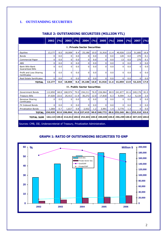## **1. OUTSTANDING SECURITIES**

|                                                                                | 2002                                | (9/6) | 2003         | (9/6) | 2004                                | (9/6) | 2005                                                                                | (%)  | 2006     | (9/6) | 2007         | (%)  |
|--------------------------------------------------------------------------------|-------------------------------------|-------|--------------|-------|-------------------------------------|-------|-------------------------------------------------------------------------------------|------|----------|-------|--------------|------|
|                                                                                | <b>L. Private Sector Securities</b> |       |              |       |                                     |       |                                                                                     |      |          |       |              |      |
| Equities                                                                       | 13,177                              | 8.0   | 18,008       | 8.4   | 25,186                              | 10.0  | 31,916                                                                              | 11.4 | 40,926   | 13.8  | 51,685       | 16.8 |
| <b>Bonds</b>                                                                   | 0                                   | 0.0   | 0            | 0.0   | $\Omega$                            | 0.0   | $\mathbf 0$                                                                         | 0.0  | 120      | 0.0   | 270          | 0.1  |
| Commercial Paper                                                               | 0                                   | 0.0   | 0            | 0.0   | 0                                   | 0.0   | 0                                                                                   | 0.0  | 13       | 0.0   | 270          | 0.1  |
| <b>ABS</b>                                                                     | 0                                   | 0.0   | $\mathbf 0$  | 0.0   | 0                                   | 0.0   | 0                                                                                   | 0.0  | 0        | 0.0   | 0            | 0.0  |
| <b>Bank Bills-Bank</b><br><b>Guaranteed Bills</b>                              | $\mathbf{0}$                        | 0.0   | $\Omega$     | 0.0   | 0                                   | 0.0   | $\Omega$                                                                            | 0.0  | $\Omega$ | 0.0   | O            | 0.0  |
| Profit and Loss Sharing<br>Certificates                                        | $\Omega$                            | 0.0   | $\mathbf{0}$ | 0.0   | 0                                   | 0.0   | 0                                                                                   | 0.0  | $\Omega$ | 0.0   | 0            | 0.0  |
| <b>Real Estate Sertificates</b>                                                | $\Omega$                            | 0.0   | 0            | 0.0   | 0                                   | 0.0   | <sup>0</sup>                                                                        | 0.0  | $\Omega$ | 0.0   | 0            | 0.0  |
| <b>TOTAL</b>                                                                   | 13,177                              | 8.0   | 18,008       | 8.4   | 25,186                              | 10.0  | 31,916                                                                              | 11.4 | 41.059   | 13.9  | 52,225       | 17.0 |
|                                                                                |                                     |       |              |       | <b>II. Public Sector Securities</b> |       |                                                                                     |      |          |       |              |      |
| Government Bonds                                                               | 112,850                             | 68.8  | 168,974      | 79.0  | 194,211                             | 76.9  | 226,964                                                                             | 80.9 | 241,877  | 81.6  | 249,176      | 81.0 |
| <b>Treasury Bills</b>                                                          | 37,020                              | 22.6  | 25,413       | 11.9  | 30,272                              | 12.0  | 17,818                                                                              | 6.3  | 9,594    | 3.2   | 6,134        | 2.0  |
| Revenue Sharing<br>Certificates                                                | $\Omega$                            | 0.0   | $\Omega$     | 0.0   | $\Omega$                            | 0.0   | $\Omega$                                                                            | 0.0  | $\Omega$ | 0.0   | <sup>0</sup> | 0.0  |
| FX Indexed Bonds                                                               | $\Omega$                            | 0.0   | $\Omega$     | 0.0   | $\Omega$                            | 0.0   | $\Omega$                                                                            | 0.0  | $\Omega$ | 0.0   | 0            | 0.0  |
| <b>Privatization Bonds</b>                                                     | 1,069                               | 0.7   | 1,617        | 0.8   | 2,932                               | 1.2   | 3,991                                                                               | 1.4  | 3,770    | 1.3   | 0            | 0.0  |
| <b>TOTAL</b>                                                                   | 150.939                             |       | 92.0 196.004 | 91.6  | 227,415                             |       | 90.0 248,773                                                                        | 88.6 | 255,240  | 86.1  | 255,310      | 83.0 |
| <b>TOTAL SUM</b>                                                               |                                     |       |              |       |                                     |       | 164,115 100.0 214,012 100.0 252,601 100.0 280,689 100.0 296,299 100.0 307,535 100.0 |      |          |       |              |      |
| Sources: CMB, ISE, Undersecreteriat of Treasury, Privatization Administration. |                                     |       |              |       |                                     |       |                                                                                     |      |          |       |              |      |

## **TABLE 2: OUTSTANDING SECURITIES (MILLION YTL)**

#### **GRAPH 1: RATIO OF OUTSTANDING SECURITIES TO GNP**

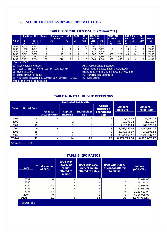## **2. SECURITIES ISSUES REGISTERED WITH CMB**

## **TABLE 3: SECURITIES ISSUES (Million YTL)**

|                                                                                                                                                                                                                                                 |       | Equities (1) | <b>Bonds</b> | Commercial<br>Paper | <b>ABS</b> | <b>PLSC</b>                                             | BB/<br><b>BGB</b> | <b>MUTUAL</b><br><b>FUND PC</b>                                                                                                          |                       | <b>PENSION</b><br><b>FUND PC</b> |              |                   |             | <b>FOREIGN</b><br><b>FUND PC</b> |        | <b>RE</b><br><b>CER</b> | <b>TOTAL</b> |
|-------------------------------------------------------------------------------------------------------------------------------------------------------------------------------------------------------------------------------------------------|-------|--------------|--------------|---------------------|------------|---------------------------------------------------------|-------------------|------------------------------------------------------------------------------------------------------------------------------------------|-----------------------|----------------------------------|--------------|-------------------|-------------|----------------------------------|--------|-------------------------|--------------|
| Yıllar                                                                                                                                                                                                                                          | (3)   | п<br>(4)     | Ш            | $\mathbf{v}$        | v          | VI                                                      | VII.              | <b>VIII</b><br>(3)                                                                                                                       | $\overline{1}$<br>(4) | x<br>(3)                         | XI<br>(4)    | <b>XII</b><br>(5) | <b>XIII</b> | <b>XIV</b>                       | (2)    |                         |              |
| 2002                                                                                                                                                                                                                                            | 1,428 | 1,597        | 0            | 0                   | 0          | 0                                                       | 84                | 491                                                                                                                                      | 2,405                 | $\Omega$                         | 0            | 107               | 0           | 0                                | 4,193  |                         |              |
| 2003                                                                                                                                                                                                                                            | 932   | 1,749        | 0            | 0                   | 0          |                                                         | 0                 | 478                                                                                                                                      | 6,119                 | 0                                | 0            | 13                | 0           | 0                                | 7,882  |                         |              |
| 2004                                                                                                                                                                                                                                            | 2,229 | 3,826        | 0            | 0                   | 0          | 0                                                       | $\Omega$          | 827                                                                                                                                      | 6,870                 | $\Omega$                         | <sup>0</sup> | 0                 | 0           | 0                                | 10,697 |                         |              |
| 2005                                                                                                                                                                                                                                            | 2,069 | 3,992        | 0            | 13                  | 0          | 0                                                       | 0                 | 1,387                                                                                                                                    | 2,391                 | 900                              | 929          | 60                | 60          | 0                                | 7,385  |                         |              |
| 2006                                                                                                                                                                                                                                            | 4,392 | 10,881       | 150          | 0                   | 0          | 0                                                       | 0                 | 2,076                                                                                                                                    | 3,356                 | 5,900                            | 5,900        | 11                | 17          | 0                                | 20,298 |                         |              |
| 2007                                                                                                                                                                                                                                            | 3,499 | 7,864        | 150          | 270                 | 0          | 0                                                       | 0                 | 1,586                                                                                                                                    | 1,848                 | 450                              | 450          | 0                 | 0           | 0                                | 10,542 |                         |              |
|                                                                                                                                                                                                                                                 |       |              |              |                     |            |                                                         |                   |                                                                                                                                          |                       |                                  |              |                   |             |                                  |        |                         |              |
| Source: CMB<br>(1) Cash capital increases.<br>$(2)$ Total: II+III+IV+V+VI+VII+IX+XI+XIII+XIV<br>(3) Nominal value<br>(4) Issue amount at sales<br>(5) YTL value converted by Central Bank Official TRL/USD<br>rate at the time of registration. |       |              |              |                     |            | PC: Participation Certificate<br><b>RE: Real Estate</b> |                   | <b>ABS: Asset Backed Securities</b><br><b>PLSC: Profit and Loss Sharing Certificates</b><br>BB/BGB: Bank Bills and Bank Guaranteed Bills |                       |                                  |              |                   |             |                                  |        |                         |              |

#### **TABLE 4: INITIAL PUBLIC OFFERINGS**

|              |                    |                                        | <b>Method of Public Offer</b>     |                                   |                                                                   |                            |                                 |
|--------------|--------------------|----------------------------------------|-----------------------------------|-----------------------------------|-------------------------------------------------------------------|----------------------------|---------------------------------|
| Year         | No. Of Co.s        | <b>Gradual</b><br><b>Incorporation</b> | <b>Capital</b><br><b>Increase</b> | <b>Shareholder</b><br><b>Sale</b> | <b>Capital</b><br>Increase /<br><b>Shareholder</b><br><b>Sale</b> | <b>Amount</b><br>(000 YTL) | <b>Amount</b><br>$(000$ USD $)$ |
| 2002         |                    | -                                      |                                   |                                   |                                                                   | 76,618.45                  | 56,467.36                       |
| 2003         |                    | $\overline{\phantom{0}}$               | C.                                | $\overline{\phantom{a}}$          |                                                                   | 18,395.34                  | 11,252.27                       |
| 2004         | 12                 | $\overline{\phantom{0}}$               | 3                                 |                                   | 6                                                                 | 713,936.04                 | 482,575.19                      |
| 2005         | 9                  | $\overline{\phantom{0}}$               | ግ                                 |                                   |                                                                   | 2,362,053.08               | 1,743,964.26                    |
| 2006         | 15                 | $\overline{\phantom{0}}$               | 3                                 |                                   | 5                                                                 | 1,239,651.97               | 930,501.52                      |
| 2007         | 9                  | $\overline{\phantom{0}}$               | C.                                | ∍                                 | 4                                                                 | 4,364,058.98               | 3,298,307.17                    |
| <b>TOTAL</b> | 51                 |                                        | 14                                | 20                                | 17                                                                | 8,774,713.86               | 6,523,067.77                    |
|              | Sources: ISE, CMB. |                                        |                                   |                                   |                                                                   |                            |                                 |

#### **TABLE 5: IPO RATIOS**

| Year         | <b>Total Number</b><br>of IPOs | <b>IPOs with</b><br>$<$ 15% of<br>capital<br>offered to<br>public | IPOs with 15%-<br>25% of capital<br>offered to public | <b>IPOs with <math>&gt;25%</math></b><br>of capital offered<br>to public | <b>Volume</b><br>(000 YTL) |
|--------------|--------------------------------|-------------------------------------------------------------------|-------------------------------------------------------|--------------------------------------------------------------------------|----------------------------|
| 2002         | 4                              |                                                                   | 3                                                     |                                                                          | 76.618,45                  |
| 2003         |                                |                                                                   | ۰.                                                    |                                                                          | 18.395,34                  |
| 2004         | 12                             |                                                                   | 3                                                     | 9                                                                        | 713.936,04                 |
| 2005         | 9                              |                                                                   | 3                                                     | 6                                                                        | 2.362.053.08               |
| 2006         | 15                             |                                                                   |                                                       | 14                                                                       | 1.239.651,97               |
| 2007         | 9                              |                                                                   | 3                                                     | 6                                                                        | 4,364,058.98               |
| <b>TOTAL</b> | 51                             | 0                                                                 | 13                                                    | 38                                                                       | 8,774,713.86               |
| Source: ISE  |                                |                                                                   |                                                       |                                                                          |                            |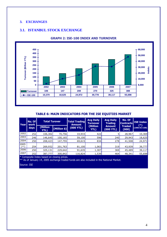#### **3. EXCHANGES**

#### **3.1. ISTANBUL STOCK EXCHANGE**



#### **GRAPH 2: ISE-100 INDEX AND TURNOVER**

#### **TABLE 6: MAIN INDICATORS FOR THE ISE EQUITIES MARKET**

| Year           | No. Of<br>work | <b>Total Turover</b>                                |                   | <b>Total Trading</b><br><b>Amount</b> | <b>Avg Daily</b><br><b>Turnover</b> | <b>Avg Daily</b><br><b>Trading</b> | No. Of<br><b>Contracts</b> | <b>ISE Index</b><br>(*) |
|----------------|----------------|-----------------------------------------------------|-------------------|---------------------------------------|-------------------------------------|------------------------------------|----------------------------|-------------------------|
|                | days           | (Million<br>YTL)                                    | $\ $ (Million \$) | (000 YTL)                             | (Million<br>YTL)                    | <b>Amount</b><br>(000 YTL)         | <b>Traded</b><br>(000)     | $(1986 - 01 = 100)$     |
| 2002           | 252            | 106,302                                             | 70,756            | 33,933                                | 422                                 |                                    | 28,967                     | 10,369                  |
| 2003           | 246            | 146,645                                             | 100,165           | 59,100                                | 596                                 | 240                                | 29,943                     | 18,625                  |
| 2004           | 250            | 208,423                                             | 147,755           | 69,615                                | 834                                 | 278                                | 41,508                     | 24,971                  |
| 2005<br>$(**)$ | 254            | 269,932                                             | 201,763           | 81,100                                | 1,063                               | 319                                | 43,939                     | 39,777                  |
| 2006           | 250            | 325,131                                             | 229,642           | 91,635                                | 1,307                               | 369                                | 45,489                     | 39,117                  |
| 2007           | 252            | 387,777                                             | 300,842           | 116,824                               | 1,539                               | 464                                | 48,341                     | 55,698                  |
|                |                | W. Construction Tarden because an electron and con- |                   |                                       |                                     |                                    |                            |                         |

Composite Index based on closing prices.

\*\* As of January 14, 2005 exchange traded funds are also included in the National Market.

Source: ISE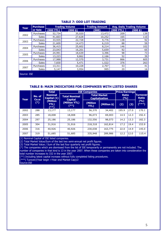| Year        | <b>Purchase</b> |                     | <b>Trading Volume</b> | <b>Trading Amount</b> |          | <b>Avg. Daily Trading Volume</b> |  |  |
|-------------|-----------------|---------------------|-----------------------|-----------------------|----------|----------------------------------|--|--|
|             | or Sale         | $(000 \text{ YTL})$ | (000, \$)             | (000)                 | (000 YTL | (000, 5)                         |  |  |
| 2002        | Purchases       | 52,734              | 35,020                | 13,472                | 209      | 139                              |  |  |
|             | <b>Sales</b>    | 41,603              | 27,628                | 10,252                | 165      | 110                              |  |  |
| 2003        | Purchases       | 33,935              | 22,728                | 9,776                 | 138      | 92                               |  |  |
|             | <b>Sales</b>    | 21,609              | 14,473                | 6,219                 | 88       | 59                               |  |  |
| 2004        | Purchases       | 36,415              | 25,602                | 8,214                 | 146      | 102                              |  |  |
|             | <b>Sales</b>    | 23,043              | 16,201                | 5,659                 | 92       | 65                               |  |  |
| 2005        | Purchases       | 24,991              | 18,639                | 3,396                 | 98       | 73                               |  |  |
|             | <b>Sales</b>    | 13,223              | 9,862                 | 2,166                 | 52       | 39                               |  |  |
| 2006        | Purchases       | 17,988              | 12,570                | 3,731                 | 866      | 605                              |  |  |
|             | <b>Sales</b>    | 7,830               | 5,471                 | 1,522                 | 376      | 263                              |  |  |
| 2007        | Purchases       | 13,311              | 10,228                | 2,707                 | 53       | 41                               |  |  |
|             | Sales           | 5,147               | 3,954                 | 995                   | 20       | 16                               |  |  |
| Source: ISE |                 |                     |                       |                       |          |                                  |  |  |

#### **TABLE 7: ODD LOT TRADING**

#### **TABLE 8: MAIN INDICATORS FOR COMPANIES WITH LISTED SHARES**

|      |        | <b>Total</b>                                                                     |                         | <b>ISE Companies</b> |                                              | <b>Price/Earnings</b> |                                 |                  |
|------|--------|----------------------------------------------------------------------------------|-------------------------|----------------------|----------------------------------------------|-----------------------|---------------------------------|------------------|
| Year | No. of | <b>Nominal</b><br><b>Total Nominal</b><br>Capital (1)<br>Co.si<br><b>Capital</b> |                         |                      | <b>Total Market</b><br><b>Capitalization</b> | <b>Ratio</b><br>(%)   | <b>Turnover</b><br><b>Ratio</b> |                  |
|      | $(*)$  | (Million<br><b>YTL)</b><br>(**)                                                  | (Million YTL)<br>$(**)$ | (Million<br>YTL)     | (Million \$)                                 | (2)                   | (3)                             | (9/6)<br>$(***)$ |
| 2002 | 288    | 13,177                                                                           | 13,177                  | 56,370               | 34,402                                       | 195.9                 | 27.0                            | 170.1            |
| 2003 | 285    | 18,008                                                                           | 18,008                  | 96,073               | 69,003                                       | 14.5                  | 12.3                            | 192.4            |
| 2004 | 297    | 25,186                                                                           | 25,186                  | 132,556              | 98,073                                       | 14.2                  | 13.3                            | 182.3            |
| 2005 | 304    | 31,916                                                                           | 31,916                  | 218,318              | 162,814                                      | 17.2                  | 19.4                            | 153.9            |
| 2006 | 316    | 40,926                                                                           | 40,926                  | 230,038              | 163,775                                      | 22.0                  | 14.9                            | 145.0            |
| 2007 | 319    | 51,685                                                                           | 51,685                  | 335,948              | 289,986                                      | 12.2                  | 12.0                            | 115.4            |

(1) Nominal Capital of ISE listed companies.

(2) Total Market Value/Sum of the last two semi-annual net profit figures.

(3) Total Market Value / Sum of the last four quarterly net profit figures.

 $(\cdot)$  The companies which are dismissed from the list of ISE temporarily or permanently are not included. The

number of companies in that kind is 13 in the year 2007. When these companies are taken into consideration the total number increases to 332 in the year 2007.

(\*\*) Including latest capital increaes without fully completed listing procedures.

(\*\*\*) Turover/(Year begin +Year end Market Cap)/2

Source: ISE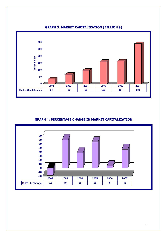

## **GRAPH 3: MARKET CAPITALIZATION (BILLION \$)**

#### **GRAPH 4: PERCENTAGE CHANGE IN MARKET CAPITALIZATION**

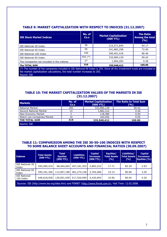|  |  |  | TABLE 9: MARKET CAPITALIZATION WITH RESPECT TO INDICES (31.12.2007) |
|--|--|--|---------------------------------------------------------------------|
|--|--|--|---------------------------------------------------------------------|

| <b>ISE Stock Market Indices</b>                                                                                            | No. of<br>Co.s | <b>Market Capitalization</b><br>$(000 \text{ YTL})$ | <b>The Ratio</b><br><b>Among the total</b><br>(9/6) |  |  |  |
|----------------------------------------------------------------------------------------------------------------------------|----------------|-----------------------------------------------------|-----------------------------------------------------|--|--|--|
| ISE National-30 Index                                                                                                      | 30             | 215,571,845                                         | 64.17                                               |  |  |  |
| ISE National-50 Index                                                                                                      | 50             | 241,882,298                                         | 72.00                                               |  |  |  |
| ISE National-100 Index                                                                                                     | 100            | 290,461,418                                         | 86.46                                               |  |  |  |
| ISE National-All Index                                                                                                     | $292 (*)$      | 333,984,129                                         | 99.42                                               |  |  |  |
| The Companies not included in the indeces                                                                                  | 27             | 1,964,283                                           | 0.58                                                |  |  |  |
| The TOTAL SUM                                                                                                              | 319            | 335,948,412                                         | 100.00                                              |  |  |  |
| (*) The number of the companies included in ISE National-All Index is 259. Since all the investment trusts are included in |                |                                                     |                                                     |  |  |  |

the market capitalization calculations, the total number increases to 292. Source: ISE

#### **TABLE 10: THE MARKET CAPITALIZATION VALUES OF THE MARKETS IN ISE (31.12.2007)**

| <b>Markets</b>              | No. of<br>Co.s | <b>Market Capitalization</b><br>$(000 \text{ YTL})$ | <b>The Ratio to Total Sum</b><br>(%) |
|-----------------------------|----------------|-----------------------------------------------------|--------------------------------------|
| <b>National Market</b>      | 292            | 333,984,129                                         | 99.42                                |
| Second National Market      | 14             | 1,682,312                                           | 0.50                                 |
| New Economy Market          |                | 118,380                                             | 0.04                                 |
| Watch List Companies Market | 10             | 163,592                                             | 0.05                                 |
| THE TOTAL SUM               | 319            | 335.948.412                                         | 100.00                               |
| Source: ISE                 |                |                                                     |                                      |

#### **TABLE 11: COMPARISION AMONG THE ISE 30-50-100 INDECES WITH RESPECT TO SOME BALANCE SHEET ACCOUNTS AND FINANCIAL RATIOS (30.09.2007)**

| <b>Indeces</b>                                                                                            | <b>Total Assets</b><br>(000 YTL) | <b>Total</b><br><b>Equities</b><br>(000 YTL) | Liabilities<br>$(000 \text{ YTL})$ | <b>Capital</b><br><b>Increases</b> | Equities/<br><b>Total Assets</b><br>(%) | Liabilities/<br><b>Total Assets</b><br>(%) | <b>Capital</b><br>Increases/<br>Equities (%) |  |
|-----------------------------------------------------------------------------------------------------------|----------------------------------|----------------------------------------------|------------------------------------|------------------------------------|-----------------------------------------|--------------------------------------------|----------------------------------------------|--|
| <b>ISE National-30</b><br>Index                                                                           | 555,585,419                      | 98,404,065                                   | 457,181,353                        | 2,883,222                          | 17.71                                   | 82.29                                      | 2.93                                         |  |
| ISE National-50<br>Index                                                                                  | 595,181,346                      | 113,907,188                                  | 481,274,158                        | 3,764,486                          | 19.14                                   | 80.86                                      | 3.30                                         |  |
| <b>ISE National-</b><br>100 Index                                                                         | 646,618,928                      | 129,091,938                                  | 517,526,990                        | 5,420,694                          | 19.96                                   | 80.04                                      | 4.20                                         |  |
| Sources: ISE (http://www.ise.org/data.htm) and FINNET (http://www.finnet.com.tr), Visit Time: 12.02.2008. |                                  |                                              |                                    |                                    |                                         |                                            |                                              |  |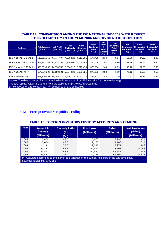#### **TABLE 12: COMPARISION AMONG THE ISE NATIONAL INDECES WITH RESPECT TO PROFITABILITY IN THE YEAR 2006 AND DIVIDEND DISTRIBUTION**

| <b>Indeces</b>                                                                                       | <b>Total Assets</b><br>(000 YTL) | <b>Net Profit</b><br>(Bin YTL) | <b>Total</b><br><b>Dividends</b><br>(000 YTL) | Cash<br><b>Dividens</b><br>(000 YTL) | <b>Stock</b><br><b>Dividends</b><br>(000)<br>YTL) | <b>Net</b><br><b>Profit</b><br><b>Total</b><br><b>Assets</b><br>(%) | <b>Total</b><br><b>Dividends/</b><br><b>Total</b><br><b>Assets</b><br>(%) | <b>Total</b><br>Dividends/<br><b>Net Profit</b><br>(%) | Cash<br>Dividends/<br><b>Net Profit</b><br>(%) | <b>Stock</b><br>Dividends/<br><b>Net Profit</b><br>(9/6) |
|------------------------------------------------------------------------------------------------------|----------------------------------|--------------------------------|-----------------------------------------------|--------------------------------------|---------------------------------------------------|---------------------------------------------------------------------|---------------------------------------------------------------------------|--------------------------------------------------------|------------------------------------------------|----------------------------------------------------------|
| ISE National-30 Index                                                                                | 513.691.359                      | 12,017,804                     | 4.290.820                                     | 4.113.091                            | 177.728                                           | 2.34                                                                | 0.84                                                                      | 35.70                                                  | 34.22                                          | 1.48                                                     |
| ISE National-50 Index                                                                                | 551,242,238                      | 13.323.288                     |                                               | 5.310.800 5.004.794                  | 306.006                                           | 2.42                                                                | 0.96                                                                      | 39.86                                                  | 37.56                                          | 2.30                                                     |
| ISE National-100 Index                                                                               | 596.659.803                      | 14.674.745                     | 5.884.327                                     | 5.510.473                            | 373.854                                           | 2.46                                                                | 0.99                                                                      | 40.10                                                  | 37.55                                          | 2.55                                                     |
| ISE National-All (*)                                                                                 | 664.076.292                      | 19.150.521                     | 7.874.623                                     | 6.999.321                            | 875.303                                           | 2.88                                                                | 1.19                                                                      | 41.12                                                  | 36.55                                          | 4.57                                                     |
| All the Markets (**)                                                                                 | 668,726,053                      | 19,005,314                     |                                               | 7,976,274 7,091,073                  | 885,202                                           | 2.84                                                                | 1.19                                                                      | 41.97                                                  | 37.31                                          | 4.66                                                     |
| Source: The data of net profits and the dividends are gotten from ISE web site (http://www.ise.org); |                                  |                                |                                               |                                      |                                                   |                                                                     |                                                                           |                                                        |                                                |                                                          |

The total assets values are gotten from the web site http://www.finnet.com.tr.

(\*) composed of 259 companies. (\*\*) composed of 332 companies.

#### **3.1.1. Foreign Investors Equities Trading**

#### **TABLE 13: FOREIGN INVESTORS CUSTODY ACCOUNTS AND TRADING**

| Year  | <b>Amount in</b><br><b>Custody</b><br>(Milion \$)                                                                                 | <b>Custody Ratio</b><br>$(*)$<br>(9/6) | <b>Purchases</b><br>(Million \$) | <b>Sales</b><br>(Million \$) | <b>Net Purchases</b><br>(Sales)<br>(Million \$) |  |  |  |
|-------|-----------------------------------------------------------------------------------------------------------------------------------|----------------------------------------|----------------------------------|------------------------------|-------------------------------------------------|--|--|--|
| 2002  | 3,450                                                                                                                             | 45.5                                   | 5,963                            | 5,993                        | $-30$                                           |  |  |  |
| 2003  | 8,654                                                                                                                             | 46.0                                   | 9,173                            | 8,163                        | 1,010                                           |  |  |  |
| 2004  | 16,141                                                                                                                            | 57.0                                   | 19,397                           | 17,971                       | 1,446                                           |  |  |  |
| 2005  | 33,782                                                                                                                            | 66.3                                   | 42,594                           | 38,508                       | 4,086                                           |  |  |  |
| 2006  | 34,897                                                                                                                            | 65.3                                   | 44,830                           | 43,687                       | 1,143                                           |  |  |  |
| 2007  | 69,887                                                                                                                            | 72.4                                   | 74,338                           | 69,804                       | 4,534                                           |  |  |  |
| $(*)$ | Calculated according to the market capitalization of the publicly held part of the ISE companies.<br>Sources: Takasbank, CRA, ISE |                                        |                                  |                              |                                                 |  |  |  |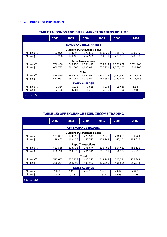## **3.1.2. Bonds and Bills Market**

|                      | 2002    | 2003      | 2004                               | 2005      | 2006      | 2007      |  |  |
|----------------------|---------|-----------|------------------------------------|-----------|-----------|-----------|--|--|
|                      |         |           | <b>BONDS AND BILLS MARKET</b>      |           |           |           |  |  |
|                      |         |           | <b>Outright Purchase and Sales</b> |           |           |           |  |  |
| Million YTL          | 102,095 | 213,098   | 372,670                            | 480,723   | 381,772   | 363,949   |  |  |
| Million \$           | 67,256  | 144,422   | 262,596                            | 359,371   | 270,183   | 278,873   |  |  |
|                      |         |           | <b>Repo Transactions</b>           |           |           |           |  |  |
| Million YTL          | 736,426 | 1,040,733 | 1,551,410                          | 1,859,714 | 2,538,802 | 2,571,169 |  |  |
| Million \$           | 480,725 | 701,545   | 1,090,476                          | 1,387,221 | 1,770,337 | 1,993,283 |  |  |
|                      |         |           | Total                              |           |           |           |  |  |
| Million YTL          | 838,520 | 1,253,831 | 1,924,080                          | 2,340,436 | 2,920,573 | 2,935,118 |  |  |
| Million \$           | 547,982 | 845,967   | 1,353,072                          | 1,746,591 | 2,040,520 | 2,272,156 |  |  |
| <b>DAILY AVERAGE</b> |         |           |                                    |           |           |           |  |  |
| Million YTL          | 3,314   | 5,015     | 7,635                              | 9,214     | 11,636    | 11,647    |  |  |
| Million \$           | 2,168   | 3,384     | 5,389                              | 6,876     | 8,130     | 9,016     |  |  |
| Source: ISE          |         |           |                                    |           |           |           |  |  |

#### **TABLE 14: BONDS AND BILLS MARKET TRADING VOLUME**

## **TABLE 15: OFF EXCHANGE FIXED INCOME TRADING**

|                      | 2002    | 2003    | 2004                               | 2005    | 2006    | 2007    |  |  |
|----------------------|---------|---------|------------------------------------|---------|---------|---------|--|--|
|                      |         |         | <b>OFF EXCHANGE TRADING</b>        |         |         |         |  |  |
|                      |         |         | <b>Outright Purchase and Sales</b> |         |         |         |  |  |
| <b>Million YTL</b>   | 133,037 | 149,312 | 223,549                            | 232,545 | 201,083 | 239,764 |  |  |
| Million \$           | 89,463  | 100,423 | 157,597                            | 173,964 | 140,301 | 184,015 |  |  |
|                      |         |         | <b>Repo Transactions</b>           |         |         |         |  |  |
| Million YTL          | 412,568 | 378,416 | 398,674                            | 336,402 | 504,661 | 486,125 |  |  |
| Million \$           | 276,790 | 253,970 | 281,311                            | 251,331 | 351,304 | 375,258 |  |  |
|                      |         |         | <b>Total</b>                       |         |         |         |  |  |
| <b>Million YTL</b>   | 545,605 | 527,728 | 622,222                            | 568,948 | 705,774 | 725,889 |  |  |
| Million \$           | 366,254 | 354,393 | 438,907                            | 425,295 | 491.605 | 559,274 |  |  |
| <b>DAILY AVERAGE</b> |         |         |                                    |         |         |         |  |  |
| <b>Million YTL</b>   | 2,140   | 2,119   | 2,469                              | 2,240   | 2,812   | 2,881   |  |  |
| Million \$           | 1,436   | 1,423   | 1,742                              | 1,674   | 1,959   | 2,219   |  |  |
| Source: ISE          |         |         |                                    |         |         |         |  |  |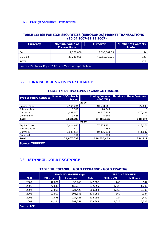## **3.1.3. Foreign Securities Transactions**

#### **TABLE 16: ISE FOREIGN SECURITIES (EUROBONDS) MARKET TRANSACTIONS (16.04.2007-31.12.2007)**

| <b>Currency</b>                                              | <b>Nominal Value of</b><br><b>Transactions</b> | <b>Turnover</b> | <b>Number of Contacts</b><br><b>Traded</b> |  |  |  |  |
|--------------------------------------------------------------|------------------------------------------------|-----------------|--------------------------------------------|--|--|--|--|
| Euro                                                         | 12,360,000                                     | 12,895,802.33   | 54                                         |  |  |  |  |
| US Dollar                                                    | 38,240,000                                     | 46,355,267.21   | 122                                        |  |  |  |  |
| <b>TOTAL</b>                                                 |                                                |                 | 176                                        |  |  |  |  |
| Sources: ISE Annual Report 2007, http://www.ise.org/data.htm |                                                |                 |                                            |  |  |  |  |

## **3.2. TURKISH DERIVATIVES EXCHANGE**

#### **TABLE 17: DERIVATIVES EXCHANGE TRADING**

| <b>Type of Future Contract</b> | Number Of Contracts<br><b>Traded</b> | <b>Trading Volume</b><br>$(000 \text{ YTL})$ | <b>Number of Open Positions</b> |
|--------------------------------|--------------------------------------|----------------------------------------------|---------------------------------|
|                                |                                      | 2006                                         |                                 |
| Equity Index                   | 2,194,245                            | 10,608,361                                   | 27,639                          |
| Interest Rate                  | 3,318                                | 26,049                                       | 0                               |
| Currency                       | 4,429,502                            | 6,747,505                                    | 170,431                         |
| Commodity                      | 1,438                                | 4,240                                        | 4                               |
| <b>Total</b>                   | 6,628,503                            | 17,386,155                                   | 198,074                         |
|                                |                                      | 2007                                         |                                 |
| Equity Index                   | 17,016,913                           | 107,605,751                                  | 123,076                         |
| Interest Rate                  | 401                                  | 3,355                                        | 0                               |
| Currency                       | 7.849.609                            | 10,426,033                                   | 111,637                         |
| Commodity                      | 110                                  | 304                                          | 4                               |
| <b>Total</b>                   | 24,867,033                           | 118,035,443                                  | 234,717                         |
| <b>Source: TURKDEX</b>         |                                      |                                              |                                 |

## **3.3. ISTANBUL GOLD EXCHANGE**

#### **TABLE 18: ISTANBUL GOLD EXCHANGE - GOLD TRADING**

|             | <b>TRADING AMOUNT (Kg)</b> |            |              |                    | <b>TRADING VOLUME</b> |
|-------------|----------------------------|------------|--------------|--------------------|-----------------------|
| Year        | YTL / gr.                  | \$ / ounce | <b>Total</b> | <b>Million YTL</b> | <b>Million \$</b>     |
| 2002        | 47,837                     | 95,149     | 142,986      | 749                | 942                   |
| 2003        | 77,643                     | 155,016    | 232,659      | 1,320              | 1,782                 |
| 2004        | 58,839                     | 221,425    | 280,264      | 1,068              | 2,909                 |
| 2005        | 19,907                     | 306,145    | 326,052      | 369                | 4,344                 |
| 2006        | 7,875                      | 224,421    | 232,296      | 227                | 4,409                 |
| 2007        | 36,131                     | 292,251    | 328,382      | 1,015              | 6,507                 |
| Source: IGE |                            |            |              |                    |                       |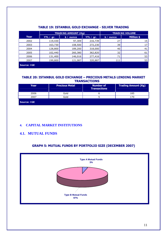|             | <b>TRADING AMOUNT (Kg)</b> |            |                  |            | <b>TRADING VOLUME</b> |
|-------------|----------------------------|------------|------------------|------------|-----------------------|
| Year        | YTL $\angle$ gr.           | \$ / ounce | YTL $\angle$ gr. | \$ / ounce | <b>Million \$</b>     |
| 2002        | 119,430                    | 97,309     | 216,739          | 27         | 15                    |
| 2003        | 163,730                    | 108,500    | 272,230          | 39         | 17                    |
| 2004        | 128,800                    | 189,200    | 318,000          | 40         | 41                    |
| 2005        | 102,440                    | 260,380    | 362,820          | 32         | 61                    |
| 2006        | 131,400                    | 146,016    | 277,416          | 71         | 53                    |
| 2007        | 199,800                    | 121,087    | 320,887          | 111        | 53                    |
| Source: IGE |                            |            |                  |            |                       |

## **TABLE 19: ISTANBUL GOLD EXCHANGE - SILVER TRADING**

#### **TABLE 20: ISTANBUL GOLD EXCHANGE – PRECIOUS METALS LENDING MARKET TRANSACTIONS**

| Year        | <b>Precious Metal</b> | <b>Number of</b><br><b>Transactions</b> | <b>Trading Amount (Kg)</b> |
|-------------|-----------------------|-----------------------------------------|----------------------------|
| 2006        | Gold                  | о                                       | 185                        |
| 2007        | Gold                  |                                         |                            |
| Source: IGE |                       |                                         |                            |

## **4. CAPITAL MARKET INSTITUTIONS**

## **4.1. MUTUAL FUNDS**

## **GRAPH 5: MUTUAL FUNDS BY PORTFOLIO SIZE (DECEMBER 2007)**

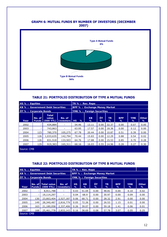#### **GRAPH 6: MUTUAL FUNDS BY NUMBER OF INVESTORS (DECEMBER 2007)**



#### **TABLE 21: PORTFOLIO DISTRIBUTION OF TYPE A MUTUAL FUNDS**

| <b>HS % : Equities</b>            |                        |                                         | TR % : Rev. Repo         |                                      |                                                |         |                |                 |                 |                   |
|-----------------------------------|------------------------|-----------------------------------------|--------------------------|--------------------------------------|------------------------------------------------|---------|----------------|-----------------|-----------------|-------------------|
| KB % : Government Debt Securities |                        |                                         |                          | <b>BPP % : Exchange Money Market</b> |                                                |         |                |                 |                 |                   |
| <b>ÖT % : Corporate Bonds</b>     |                        |                                         |                          | <b>YMK % : Foreign Securities</b>    |                                                |         |                |                 |                 |                   |
| Year                              | No. of<br><b>Funds</b> | Total<br>value<br>(000 YTL)   Investors | No. of                   | HS.<br>%                             | KB.<br>℅                                       | ÖT<br>% | <b>TR</b><br>% | <b>BPP</b><br>℅ | <b>YMK</b><br>℅ | <b>Other</b><br>℅ |
| 2002                              |                        | 434,884                                 | $\overline{\phantom{a}}$ | 54.46                                | 13.11                                          | 0.00    | 32.37          | 0.00            | 0.07            | 0.00              |
| 2003                              |                        | 743,863                                 | $\overline{\phantom{a}}$ | 63.95                                | 17.57                                          | 0.00    | 18.36          | 0.00            | 0.12            | 0.00              |
| 2004                              | 123                    | 780,370                                 | 105,275                  | 67.78                                | 20.44                                          | 0.00    | 10.87          | 0.51            | 0.39            | 0.00              |
| 2005                              | 126                    | 1,033,635                               | 142,794                  | 70.44                                | 15.83                                          | 0.00    | 12.29          | 0.88            | 0.54            | 0.02              |
| 2006                              | 126                    | 831,518                                 | 133,503                  | 64.76                                | 17.88                                          | 0.00    | 15.53          | 0.85            | 0.70            | 0.28              |
| 2007                              | 129                    | 919,383                                 | 165,311                  | 68.16                                | 16.03<br>0.55<br>0.28<br>0.30<br>14.96<br>0.27 |         |                |                 |                 |                   |
| Source: CMB                       |                        |                                         |                          |                                      |                                                |         |                |                 |                 |                   |

#### **TABLE 22: PORTFOLIO DISTRIBUTION OF TYPE B MUTUAL FUNDS**

| HS % : Equities                   |                        |                                 |                            |                | TR % : Rev. Repo                       |                                      |          |                 |                 |                   |
|-----------------------------------|------------------------|---------------------------------|----------------------------|----------------|----------------------------------------|--------------------------------------|----------|-----------------|-----------------|-------------------|
| KB % : Government Debt Securities |                        |                                 |                            |                |                                        | <b>BPP % : Exchange Money Market</b> |          |                 |                 |                   |
| <b>ÖT %: Corporate Bonds</b>      |                        |                                 |                            |                | YMK % : Foreign Securities             |                                      |          |                 |                 |                   |
|                                   |                        |                                 |                            |                |                                        |                                      |          |                 |                 |                   |
| Year                              | No. of<br><b>Funds</b> | <b>Total value</b><br>(000 YTL) | No. of<br><b>Investors</b> | <b>HS</b><br>% | <b>KB</b><br>℅                         | ÖT<br>%                              | TR.<br>% | <b>BPP</b><br>% | <b>YMK</b><br>℅ | <b>Other</b><br>% |
| 2002                              |                        | 8,911,788                       |                            | 0.03           | 51.04                                  | 0.00                                 | 48.81    | 0.00            | 0.10            | 0.02              |
| 2003                              |                        | 19,114,297                      |                            | 0.04           | 68.9                                   | 0.00                                 | 30.97    | 0.00            | 0.09            | 0.00              |
| 2004                              | 130                    | 23,663,404                      | 2,527,187                  | 0.06           | 68.71                                  | 0.00                                 | 28.32    | 2.91            | 0.00            | 0.00              |
| 2005                              | 149                    | 28,340,487                      | 2,816,779                  | 0.05           | 72.26                                  | 0.00                                 | 26.53    | 1.15            | 0.01            | 0.00              |
| 2006                              | 163                    | 21,180,058                      | 2,337,406                  | 0.26           | 39.07                                  | 0.00                                 | 59.18    | 1.41            | 0.06            | 0.01              |
| 2007                              | 168                    | 25,461,778 2,833,143            |                            | 0.16           | 38.69<br>57.78<br>3.07<br>0.08<br>0.05 |                                      |          |                 |                 |                   |
| Source: CMB                       |                        |                                 |                            |                |                                        |                                      |          |                 |                 |                   |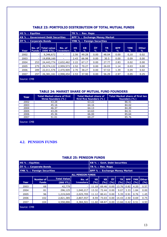| <b>HS % : Equities</b>                                                                                          |                          |                                 |                            | TR % : Rev. Repo                  |                                     |         |                |                 |                 |                   |  |  |
|-----------------------------------------------------------------------------------------------------------------|--------------------------|---------------------------------|----------------------------|-----------------------------------|-------------------------------------|---------|----------------|-----------------|-----------------|-------------------|--|--|
| <b>KB % : Government Debt Securities</b>                                                                        |                          |                                 |                            |                                   | <b>BPP %: Exchange Money Market</b> |         |                |                 |                 |                   |  |  |
| <b>ÖT %: Corporate Bonds</b>                                                                                    |                          |                                 |                            | <b>YMK % : Foreign Securities</b> |                                     |         |                |                 |                 |                   |  |  |
| Year                                                                                                            | No. of I<br><b>Funds</b> | <b>Total value</b><br>(000 YTL) | No. of<br><b>Investors</b> | <b>HS</b><br>%                    | <b>KB</b><br>%                      | ÖT<br>℅ | <b>TR</b><br>% | <b>BPP</b><br>% | <b>YMK</b><br>℅ | <b>Other</b><br>℅ |  |  |
| 2002                                                                                                            |                          | 9,346,672                       |                            | 2.56                              | 49.28                               | 0.00    | 48.04          | 0.00            | 0,10            | 0.02              |  |  |
| 2003                                                                                                            |                          | 19,858,160                      |                            | 2.43                              | 66.98                               | 0.00    | 30.5           | 0.00            | 0.09            | 0.00              |  |  |
| 2004                                                                                                            | 253                      | 24,443,774                      | 2,632,462                  | 2.22                              | 67.17                               | 0.00    | 27.77          | 2.83            | 0.02            | 0.00              |  |  |
| 2005                                                                                                            | 275                      | 29,374,122                      | 2,959,573                  | 2.52                              | 70.27                               | 0.00    | 26.03          | 1.14            | 0.03            | 0.00              |  |  |
| 2006                                                                                                            | 289                      | 22,011,576                      | 2,470,909                  | 2.70                              | 38.27                               | 0.00    | 57.53          | 1.39            | 0.09            | 0.02              |  |  |
| 0.25<br>297<br>2.53<br>37.90<br>2.97<br>26,381,161<br>2,998,454<br>56.29<br>2007<br>0.00<br>0.05<br>Source: CMB |                          |                                 |                            |                                   |                                     |         |                |                 |                 |                   |  |  |

## **TABLE 23: PORTFOLIO DISTRIBUTION OF TOTAL MUTUAL FUNDS**

#### **TABLE 24: MARKET SHARE OF MUTUAL FUND FOUNDERS**

| Year        | <b>Total Market share of first</b><br>three founders (%) | <b>Total Market share of</b><br>first five founders (%) | <b>Total Market share of first ten</b><br>founders (%) |
|-------------|----------------------------------------------------------|---------------------------------------------------------|--------------------------------------------------------|
| 2002        | 43.28                                                    | 63.22                                                   | 86.41                                                  |
| 2003        | 45.16                                                    | 64.16                                                   | 84.02                                                  |
| 2004        | 46.37                                                    | 64.13                                                   | 84.49                                                  |
| 2005        | 43.29                                                    | 63.63                                                   | 84.31                                                  |
| 2006        | 45.36                                                    | 66.00                                                   | 85.64                                                  |
| 2007        | 51.01                                                    | 69.27                                                   | 85.76                                                  |
| Source: CMB |                                                          |                                                         |                                                        |

## **4.2. PENSION FUNDS**

#### **TABLE 25: PENSION FUNDS**

| <b>HS % : Equities</b>            |                  |                     |                          | KB % : Govt. Debt Securities         |           |      |           |            |      |                    |
|-----------------------------------|------------------|---------------------|--------------------------|--------------------------------------|-----------|------|-----------|------------|------|--------------------|
| ÖT % : Corporate Bonds            |                  |                     |                          | TR % : Rev. Repo                     |           |      |           |            |      |                    |
| <b>YMK % : Foreign Securities</b> |                  |                     |                          | <b>BPP % : Exchange Money Market</b> |           |      |           |            |      |                    |
|                                   |                  |                     | <b>ALL PENSION FUNDS</b> |                                      |           |      |           |            |      |                    |
|                                   | <b>Number of</b> | <b>Total Value</b>  | No. of                   | <b>HS</b>                            | <b>KB</b> | ÖT   | <b>TR</b> | <b>BPP</b> |      | <b>YMK</b>   Other |
| Year                              | <b>Funds</b>     | $(000 \text{ YTL})$ | <b>Investors</b>         | (%)                                  | (%)       | (%)  | (%)       | (96)       | (%)  | (%)                |
| 2003                              | 68               | 42,779              |                          | 11.18                                | 69.46     | 0.00 | 13.76     | 0.82       | 4.20 | 0.57               |
| 2004                              | 81               | 296,125             | 1,040,217                | 13.32                                | 72.44     | 0.00 | 9.07      | 3.33       | 1.84 | 0.00               |
| 2005                              | 96               | 1,219,049           | 2,025,705                | 11.12                                | 80.41     | 0.00 | 5.35      | 0.91       | 0.76 | 1.45               |
| 2006                              | 102              | 2,821,385           | 2,807,557                | 8.59                                 | 73.03     | 0.00 | 14.43     | 2.50       | 0.69 | 0.75               |
| 2007                              | 104              | 4,558,886           | 4,384,501                | 11.60                                | 68.87     | 0.00 | 13.66     | 0.42       | 0.51 | 4.93               |
| Source: CMB                       |                  |                     |                          |                                      |           |      |           |            |      |                    |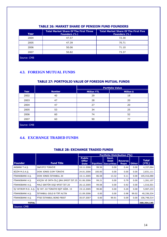| Year        | Total Market Share Of The First Three<br>Founders (%) | <b>Total Market Share Of The First Five</b><br>Founders (%) |
|-------------|-------------------------------------------------------|-------------------------------------------------------------|
| 2004        | 47.57                                                 | 72.30                                                       |
| 2005        | 47.39                                                 | 70.71                                                       |
| 2006        | 50.06                                                 | 71.10                                                       |
| 2007        | 50.82                                                 | 73.37                                                       |
| Source: CMB |                                                       |                                                             |

## **TABLE 26: MARKET SHARE OF PENSION FUND FOUNDERS**

## **4.3. FOREIGN MUTUAL FUNDS**

#### **TABLE 27: PORTFOLIO VALUE OF FOREIGN MUTUAL FUNDS**

|             |               | <b>Portfolio Value</b> |            |  |  |  |  |
|-------------|---------------|------------------------|------------|--|--|--|--|
| <b>Year</b> | <b>Number</b> | <b>Million YTL</b>     | Million \$ |  |  |  |  |
| 2002        | 40            | 29                     | 18         |  |  |  |  |
| 2003        | 47            | 28                     | 20         |  |  |  |  |
| 2004        | 47            | 27                     | 20         |  |  |  |  |
| 2005        | 53            | 34                     | 25         |  |  |  |  |
| 2006        | 60            | 74                     | 52         |  |  |  |  |
| 2007        | 60            | 90                     | 77         |  |  |  |  |
| Source: CMB |               |                        |            |  |  |  |  |

## **4.4. EXCHANGE TRADED FUNDS**

#### **TABLE 28: EXCHANGE TRADED FUNDS**

|                      |                                    | Portfolio Distribution (%)                   |        |                                                    |                        |       |                       |  |  |
|----------------------|------------------------------------|----------------------------------------------|--------|----------------------------------------------------|------------------------|-------|-----------------------|--|--|
| <b>Founder</b>       | <b>Fund Title</b>                  | <b>Public</b><br><b>Offer</b><br><b>Date</b> |        | Govt.<br><b>Debt</b><br><b>Equities Securities</b> | <b>Reverse</b><br>Repo | Other | <b>Total</b><br>(YTL) |  |  |
| AKBANK T.A.S.        | S&P/IFCI TÜRKİYE                   | 10.11.2006                                   | 99.56  | 0.00                                               | 0.44                   | 0.00  | 4,337,064             |  |  |
| BİZİM M.D.A.S.       | DOW JONES DJIM TÜRKİYE             | 24.01.2006                                   | 100.00 | 0.00                                               | 0.00                   | 0.00  | 2,831,111             |  |  |
| FİNANSBANK A.S.      | DOW JONES İSTANBUL 20              | 10.11.2005                                   | 86.58  | 13.32                                              | 0.11                   | 0.00  | 105,416,080           |  |  |
| FİNANSBANK A.S.      | KÜÇÜK VE ORTA ÖLC.SRK.SMIST İST.25 | 01.06.2006                                   | 99.21  | 0.00                                               | 0.79                   | 0.00  | 1,261,107             |  |  |
| FİNANSBANK A.S.      | MALİ SEKTÖR DIŞI NFIST İST.20      | 26.12.2005                                   | 99.08  | 0.00                                               | 0.92                   | 0.00  | 1,516,501             |  |  |
| IS YATIRIM M.D. A.S. | İS YAT.-DJ TÜRKİYE EŞİT AĞIR. 15   | 19.12.2005                                   | 99.80  | 0.00                                               | 0.20                   | 0.00  | 5,907,233             |  |  |
| FİNANSBANK A.Ş.      | İSTANBUL GOLD B TİPİ ALTIN         | 21.09.2006                                   | 0.00   | 0.00                                               | 0.98                   | 99.02 | 40,336,534            |  |  |
| FİNANSBANK A.S.      | FTSE ISTANBUL BONO FBIST           | 30.07.2007                                   | 0.00   | 99.91                                              | 0.09                   | 0.00  | 106,748,514           |  |  |
| <b>TOTAL</b>         |                                    |                                              |        |                                                    |                        |       | 268,354,145           |  |  |
| Source: CMB          |                                    |                                              |        |                                                    |                        |       |                       |  |  |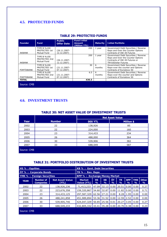## **4.5. PROTECTED FUNDS**

| <b>Founder</b>    | <b>Fund</b>                                        | <b>Public</b><br><b>Offer Date</b> | <b>Fund Initial</b><br>Amount<br>(Million YTL) | <b>Maturity</b> | <b>Initial Portfolio</b>                                                                                                                  |
|-------------------|----------------------------------------------------|------------------------------------|------------------------------------------------|-----------------|-------------------------------------------------------------------------------------------------------------------------------------------|
| AKBANK            | TYPE B %100<br>PROTECTED 1st<br>Mutual Fund        | (26.11.2007-<br>12.12.2007)        | 200                                            | 1 year          | Government Debt Securities / Reverse<br>Repo and Over the Counter Options<br>Contracts of ISE-30 Futures                                  |
| <b>AKBANK</b>     | TYPE B %100<br>PROTECTED 2nd<br>Mutual Fund        | (26.11.2007-<br>12.12.2007)        | 200                                            | 1 year          | Government Debt Securities / Reverse<br>Repo and Over the Counter Options<br>Contracts of ISE-30 Futures or<br><b>TRYUSDollar Futures</b> |
| <b>FORTISBANK</b> | TYPE B %100<br>PROTECTED 1st<br>Mutual Fund        | $(21.11.2007 -$<br>07.12.2007)     | 30                                             | 6<br>months     | Government Debt Securities / Reverse<br>Repo-over the counter and Options<br>Contracts of Eurostoxx 50                                    |
| <b>FORTISBANK</b> | TYPE B %100<br>PROTECTED 2nd<br><b>Mutual Fund</b> | (21.11.2007-<br>07.12.2007)        | 6.5                                            | 6<br>months     | Government Debt Securities / Reverse<br>Repo-over the counter and Options<br>Contracts of Eurostoxx 50                                    |
| <b>TOTAL</b>      |                                                    |                                    | 436.5                                          |                 |                                                                                                                                           |
| Source: CMB       |                                                    |                                    |                                                |                 |                                                                                                                                           |

#### **TABLE 29: PROTECTED FUNDS**

## **4.6. INVESTMENT TRUSTS**

#### **TABLE 30: NET ASSET VALUE OF INVESTMENT TRUSTS**

|             |               | <b>Net Asset Value</b> |                   |  |  |  |  |  |
|-------------|---------------|------------------------|-------------------|--|--|--|--|--|
| Year        | <b>Number</b> | <b>000 YTL</b>         | <b>Million \$</b> |  |  |  |  |  |
| 2002        | 22            | 138,926                | 85                |  |  |  |  |  |
| 2003        | 22            | 224,000                | 160               |  |  |  |  |  |
| 2004        | 23            | 314,433                | 234               |  |  |  |  |  |
| 2005        | 26            | 488,000                | 364               |  |  |  |  |  |
| 2006        | 30            | 539,906                | 382               |  |  |  |  |  |
| 2007        | 33            | 688,549                | 587               |  |  |  |  |  |
| Source: CMB |               |                        |                   |  |  |  |  |  |

#### **TABLE 31: PORTFOLIO DISTRIBUTION OF INVESTMENT TRUSTS**

| <b>HS % : Equities</b>            |                                      |                                 | KB % : Govt. Debt Securities                             |                                      |                            |         |                      |                 |                              |                               |  |
|-----------------------------------|--------------------------------------|---------------------------------|----------------------------------------------------------|--------------------------------------|----------------------------|---------|----------------------|-----------------|------------------------------|-------------------------------|--|
| ÖT % : Corporate Bonds            |                                      |                                 | TR % : Rev. Repo                                         |                                      |                            |         |                      |                 |                              |                               |  |
| <b>YMK % : Foreign Securities</b> |                                      |                                 |                                                          | <b>BPP % : Exchange Money Market</b> |                            |         |                      |                 |                              |                               |  |
| <b>YEAR</b>                       | <b>Number of</b><br><b>Companies</b> | <b>Net Asset Value</b><br>(YTL) | <b>Market</b><br>Value (YTL)                             | <b>HS</b><br>$\frac{0}{0}$           | <b>KB</b><br>$\frac{0}{0}$ | ÖT<br>% | TR.<br>$\frac{0}{0}$ | <b>BPP</b><br>% | <b>IYMK</b><br>$\frac{9}{6}$ | <b>Other</b><br>$\frac{9}{6}$ |  |
| 2002                              | 22                                   | 138,926,236                     | 71,413,233                                               | 47.09                                | 32.13                      | 0.00    | 20.51                | 0.00            | 0.00                         | 0.27                          |  |
| 2003                              | 22                                   | 223,676,358                     | 159,320,867                                              | 54.60                                | 32.87                      | 0.00    | 11.82                | 0.00            | 0.00                         | 0.71                          |  |
| 2004                              | 23                                   | 314,433,125                     | 297,587,329                                              | 62.56                                | 27.21                      | 0.00    | 8.28                 | 1.95            | 0.00                         | 0.00                          |  |
| 2005                              | 26                                   | 488,241,858                     | 451,989,894                                              | 53.36                                | 31.52                      | 0.00    | 12.59                | 2.52            | 0.00                         | 0.00                          |  |
| 2006                              | 30                                   | 539,905,746                     | 424,047,329                                              | 50.85                                | 25.56                      | 0.01    | 20.27                | 3.05            | 0.00                         | 0.27                          |  |
| 2007                              | 33                                   | 688,549,233                     | 432,805,332   43.41   35.28   0.00   20.70   0.38   0.00 |                                      |                            |         |                      |                 |                              | 0.23                          |  |
| Source: CMB                       |                                      |                                 |                                                          |                                      |                            |         |                      |                 |                              |                               |  |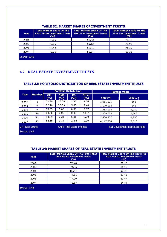| Year        | <b>Total Market Share Of The</b><br><b>First Three Investment Trusts</b><br>(9/6) | <b>Total Market Share Of The</b><br><b>First Five Investment Trusts</b><br>(%) | <b>Total Market Share Of The</b><br><b>First Ten Investment Trusts</b><br>(%) |
|-------------|-----------------------------------------------------------------------------------|--------------------------------------------------------------------------------|-------------------------------------------------------------------------------|
| 2004        | 48.06                                                                             | 58.63                                                                          | 78.48                                                                         |
| 2005        | 47.86                                                                             | 59.13                                                                          | 78.90                                                                         |
| 2006        | 47.43                                                                             | 59.71                                                                          | 78.10                                                                         |
| 2007        | 40.06                                                                             | 50.84                                                                          | 69.36                                                                         |
| Source: CMB |                                                                                   |                                                                                |                                                                               |

#### **TABLE 32: MARKET SHARES OF INVESTMENT TRUSTS**

## **4.7. REAL ESTATE INVESTMENT TRUSTS**

#### **TABLE 33: PORTFOLIO DISTRIBUTION OF REAL ESTATE INVESTMENT TRUSTS**

|                        |               |                  |                                  | <b>Portfolio Distribution</b> |                     |                                       | <b>Porfolio Value</b> |
|------------------------|---------------|------------------|----------------------------------|-------------------------------|---------------------|---------------------------------------|-----------------------|
| Year                   | <b>Number</b> | <b>GM</b><br>(%) | <b>GMP</b><br>(%)                | <b>KB</b><br>(%)              | <b>Other</b><br>(%) | <b>000 YTL</b>                        | <b>Million \$</b>     |
| 2002                   | 9             | 72.80            | 23.08                            | 2.37                          | 1.76                | 1,081,125                             | 661                   |
| 2003                   | 9             | 72.16            | 20.09                            | 5.35                          | 2.40                | 1,179,000                             | 845                   |
| 2004                   | 9             | 90.63            | 0.00                             | 0.00                          | 9.37                | 1,383,000                             | 1,030                 |
| 2005                   | 10            | 84.86            | 0.00                             | 0.00                          | 14.71               | 2,209,000                             | 1,645                 |
| 2006                   | 11            | 93.79            | 0.21                             | 6.01                          | 0.00                | 2,480,857                             | 1,756                 |
| 2007                   | 13            | 82.18            | 0.14                             | 17.54                         | 0.00                | 4,117,754                             | 3,513                 |
| <b>GM: Real Estate</b> |               |                  | <b>GMP: Real Estate Projects</b> |                               |                     | <b>KB: Government Debt Securities</b> |                       |

#### Source: CMB

#### **TABLE 34: MARKET SHARES OF REAL ESTATE INVESTMENT TRUSTS**

| Year        | <b>Total Market Share Of The First Three</b><br><b>Real Estate Investment Trusts</b><br>(%) | <b>Total Market Share Of The First Five</b><br><b>Real Estate Investment Trusts</b><br>(%) |
|-------------|---------------------------------------------------------------------------------------------|--------------------------------------------------------------------------------------------|
| 2002        | 78.48                                                                                       | 89.13                                                                                      |
| 2003        | 74.35                                                                                       | 86.17                                                                                      |
| 2004        | 83.54                                                                                       | 92.78                                                                                      |
| 2005        | 74.11                                                                                       | 87.45                                                                                      |
| 2006        | 77.09                                                                                       | 89.47                                                                                      |
| 2007        | 75.57                                                                                       | 84.44                                                                                      |
| Source: CMB |                                                                                             |                                                                                            |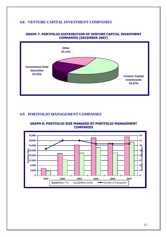## **4.8. VENTURE CAPITAL INVESTMENT COMPANIES**



#### **GRAPH 7: PORTFOLIO DISTRIBUTION OF VENTURE CAPITAL INVESTMENT COMPANIES (DECEMBER 2007)**

#### **4.9. PORTFOLIO MANAGEMENT COMPANIES**



#### **GRAPH 8: PORTFOLIO SIZE MANAGED BY PORTFOLIO MANAGEMENT COMPANIES**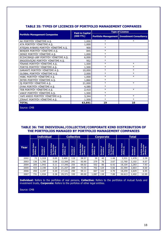|                                       | <b>Paid-in Capital</b> | <b>Type of Licence</b> |                                               |  |  |
|---------------------------------------|------------------------|------------------------|-----------------------------------------------|--|--|
| <b>Portfolio Management Companies</b> | $(000 \overline{YTL})$ |                        | Portfolio Management   Investment Consultancy |  |  |
| AK PORTFÖY YÖNETİMİ A.Ş.              | 1,000                  | $\ast$                 | $\ast$                                        |  |  |
| ATA PORTFÖY YÖNETİMİ A.Ş.             | 1,000                  | $\ast$                 |                                               |  |  |
| ATEŞAN AYBARS PORTFÖY YÖNETİMİ A.Ş.   | 900                    | $\ast$                 |                                               |  |  |
| BENDER PORTFÖY YÖNETİMİ A.Ş.          | 845                    | $\ast$                 |                                               |  |  |
| DENİZ PORTFÖY YÖNETİMİ A.Ş.           | 1,000                  | $\ast$                 |                                               |  |  |
| ECZACIBAŞI-UBP PORTFÖY YÖNETİMİ A.Ş.  | 6,000                  | $\ast$                 |                                               |  |  |
| ERGOISVIÇRE PORTFÖY YÖNETIMI A.Ş.     | 952                    | $\ast$                 |                                               |  |  |
| FİNANS PORTFÖY YÖNETİMİ A.Ş.          | 1,500                  | $\ast$                 | $\ast$                                        |  |  |
| FORTIS PORTFÖY YÖNETİMİ A.Ş.          | 1,500                  | $\ast$                 | $\ast$                                        |  |  |
| GARANTİ PORTFÖY YÖNETİMİ A.Ş.         | 10,000                 | $\ast$                 | $\ast$                                        |  |  |
| GLOBAL PORTFÖY YÖNETİMİ A.Ş.          | 2,000                  | $\ast$                 | $\ast$                                        |  |  |
| HSBC PORTFÖY YÖNETİMİ A.Ş.            | 1,000                  | $\ast$                 | $\ast$                                        |  |  |
| İNTER PORTFÖY YÖNETİMİ A.Ş.           | 1,860                  | $\ast$                 |                                               |  |  |
| İŞ PORTFÖY YÖNETİMİ A.Ş.              | 21,000                 | $\ast$                 | $\ast$                                        |  |  |
| OYAK PORTFÖY YÖNETİMİ A.Ş.            | 4,580                  | $\ast$                 |                                               |  |  |
| TEB PORTFÖY YÖNETİMİ A.Ş.             | 2,410                  | $\ast$                 | $\ast$                                        |  |  |
| VAKIF PORTFÖY YÖNETİMİ A.Ş.           | 1,500                  | $\ast$                 |                                               |  |  |
| YAPI KREDİ PORTFÖY YÖNETİMİ A.Ş.      | 3,344                  | $\ast$                 | $\ast$                                        |  |  |
| ZİRAAT PORTFÖY YÖNETİMİ A.Ş.          | 1,500                  | $\ast$                 | $\ast$                                        |  |  |
| <b>TOTAL</b>                          | 63,891                 | 19                     | 10                                            |  |  |
| Source: CMB                           |                        |                        |                                               |  |  |

## **TABLE 35: TYPES OF LICENCES OF PORTFOLIO MANAGEMENT COMPANIES**

#### **TABLE 36: THE INDIVIDUAL/COLLECTIVE/CORPORATE KIND DISTRIBUTION OF THE PORTFOLIOS MANAGED BY PORTFOLIO MANAGEMENT COMPANIES**

|      |                                       | <b>Individual</b>            |                                                          |                                       | <b>Collective</b>                |                                                              |                                       | <b>Corporate</b>            |                                                            |                                       | <b>Total</b>              |                                                          |
|------|---------------------------------------|------------------------------|----------------------------------------------------------|---------------------------------------|----------------------------------|--------------------------------------------------------------|---------------------------------------|-----------------------------|------------------------------------------------------------|---------------------------------------|---------------------------|----------------------------------------------------------|
| Year | Value<br>\$)<br>Porfolio<br>(Million: | 능.<br>Number of<br>Investors | Value<br>stor<br>\$)<br>Potfolio<br>Per Inve<br>(Million | Value<br>\$)<br>Porfolio<br>(Million: | 5'<br><b>Investors</b><br>Number | Value<br>$\frac{1}{2}$<br>Potfolio<br>Per Inve<br>(Million : | Value<br>\$)<br>Porfolio<br>(Million: | ៊<br>Number of<br>Investors | Value<br>stor<br>\$)<br>Potfolio<br>Per Inve<br>(Million : | Value<br>\$)<br>Porfolio<br>(Million: | ة'<br>Number<br>Investor: | Value<br>stor<br>န<br>Potfolio<br>Per Inve<br>(Million : |
| 2002 | 72                                    | 1,319                        | 0.05                                                     | 3,400                                 | 119                              | 28.57                                                        | 59                                    | 40                          | 1.48                                                       | 3,531                                 | 1,478                     | 2.39                                                     |
| 2003 | 136                                   | 1,785                        | 0.08                                                     | 12,266                                | 241                              | 50.90                                                        | 279                                   | 76                          | 3.67                                                       | 12,760                                | 2,102                     | 6.07                                                     |
| 2004 | 205                                   | 1,942                        | 0.11                                                     | 17,346                                | 255                              | 68.02                                                        | 552                                   | 86                          | 6.42                                                       | 18,104                                | 2,283                     | 7.93                                                     |
| 2005 | 433                                   | 2,190                        | 0.20                                                     | 21,257                                | 289                              | 73.55                                                        | 702                                   | 124                         | 5.66                                                       | 22,394                                | 2,603                     | 8.60                                                     |
| 2006 | 450                                   | 2.197                        | 0.20                                                     | 17,141                                | 290                              | 59.11                                                        | 667                                   | 142                         | 4.70                                                       | 18,259                                | 2,629                     | 6.95                                                     |
| 2007 | 731                                   | 1,934                        | 0.38                                                     | 29,371                                | 330                              | 89.00                                                        | 1,087                                 | 138                         | 7.88                                                       | 26.613                                | 2,402                     | 12.99                                                    |

**Individual:** Refers to the porfolios of real persons, **Collective:** Refers to the portfolios of mutual funds and investment trusts, **Corporate:** Refers to the porfolios of other legal entities.

Source: CMB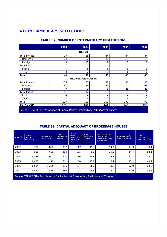## **4.10. INTERMEDIARY INSTITUTIONS**

#### **TABLE 37: NUMBER OF INTERMEDIARY INSTITUTIONS**

|                      | 2003 | 2004                    | 2005 | 2006 | 2007 |  |  |  |  |
|----------------------|------|-------------------------|------|------|------|--|--|--|--|
| <b>BANKS</b>         |      |                         |      |      |      |  |  |  |  |
| <b>Total Private</b> | 37   | 35                      | 34   | 34   | 34   |  |  |  |  |
| Domestic             | 24   | 22                      | 22   | 19   | 15   |  |  |  |  |
| Foreign              | 13   | 13                      | 12   | 15   | 19   |  |  |  |  |
| <b>Total Public</b>  | 7    |                         | 6    | 6    | 6    |  |  |  |  |
| Public               | 5    | 5                       | 5    | 5    | 5    |  |  |  |  |
| <b>TMSF</b>          | 2    | 2                       |      |      | 1    |  |  |  |  |
| Total                | 44   | 42                      | 40   | 40   | 40   |  |  |  |  |
|                      |      | <b>BROKERAGE HOUSES</b> |      |      |      |  |  |  |  |
| <b>Total Private</b> | 106  | 97                      | 92   | 95   | 95   |  |  |  |  |
| Domestic             | 97   | 88                      | 86   | 74   | 69   |  |  |  |  |
| Foreign              | 9    | 9                       | 6    | 21   | 26   |  |  |  |  |
| <b>Total Public</b>  | 11   | 12                      | 9    | 5    | 4    |  |  |  |  |
| Public               | 4    | 4                       | 4    | 4    | 4    |  |  |  |  |
| <b>TMSF</b>          | 7    | 8                       | 5    |      | 0    |  |  |  |  |
| Total                | 117  | 109                     | 101  | 100  | 99   |  |  |  |  |
| <b>TOTAL SUM</b>     | 161  | 151                     | 141  | 140  | 139  |  |  |  |  |

Source: TSPAKB (The Association of Capital Market Intermediary Institutions of Turkey)

## **TABLE 38: CAPITAL ADEQUACY OF BROKERAGE HOUSES**

| <b>YEAR</b> | <b>EQUITY</b><br><b>CAPITAL</b><br>(Million YTL) | <b>OWN FUNDS</b><br>(Million YTL) | <b>TOTAL</b><br><b>LIABILITIES</b><br>(Million<br>YTL) | LAST <sub>3</sub><br><b>MONTHS</b><br><b>OPERATING</b><br><b>EXPENSES</b><br>(Million YTL) | <b>RİSK</b><br><b>PROVISION</b><br>(Million<br>YTL) | <b>LAST 3 MONTHS</b><br><b>OPERATING</b><br><b>EXPENSES / OWN</b><br>FUNDS (%) | RİSK KARSILIĞI/<br>OWN FUNDS (%) | <b>TOTAL</b><br><b>LIABILITIES /</b><br>OWN FUNDS (%) |
|-------------|--------------------------------------------------|-----------------------------------|--------------------------------------------------------|--------------------------------------------------------------------------------------------|-----------------------------------------------------|--------------------------------------------------------------------------------|----------------------------------|-------------------------------------------------------|
| 2002        | 737                                              | 808                               | 357                                                    | 117                                                                                        | 116                                                 | 14.4                                                                           | 14.3                             | 44.1                                                  |
| 2003        | 928                                              | 680                               | 354                                                    | 135                                                                                        | 98                                                  | 19.8                                                                           | 14.4                             | 52.1                                                  |
| 2004        | 1,175                                            | 901                               | 313                                                    | 136                                                                                        | 102                                                 | 15.1                                                                           | 11.3                             | 34.9                                                  |
| 2005        | 1,435                                            | 1,140                             | 561                                                    | 150                                                                                        | 139                                                 | 13.1                                                                           | 12.2                             | 49.2                                                  |
| 2006        | 1,534                                            | 1,205                             | 896                                                    | 164                                                                                        | 265                                                 | 13.6                                                                           | 22.0                             | 74.4                                                  |
| 2007        | 1,821                                            | 1,468                             | 1,389                                                  | 198                                                                                        | 263                                                 | 13.4                                                                           | 17.9                             | 94.6                                                  |
|             |                                                  |                                   |                                                        |                                                                                            |                                                     |                                                                                |                                  |                                                       |

Source: TSPAKB (The Association of Capital Market Intermediary Institutions of Turkey)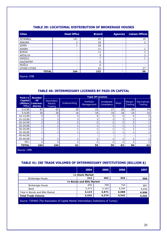| <b>Cities</b>   | <b>Head Office</b> | <b>Branch</b> | <b>Agencies</b>          | <b>Liaison Offices</b> |
|-----------------|--------------------|---------------|--------------------------|------------------------|
| <b>İSTANBUL</b> | 101                | 65            | -                        | 19                     |
| <b>ANKARA</b>   | っ                  | 29            | -                        | $\mathbf{2}^{\prime}$  |
| İZMİR           |                    | 26            | -                        |                        |
| <b>ADANA</b>    | ۰                  | 11            | -                        |                        |
| <b>BURSA</b>    | -                  | 11            | -                        | 3                      |
| ANTALYA         | ۰                  | 9             | -                        | 3                      |
| DENİZLİ         | -                  | 7             | ۰                        |                        |
| GAZIANTEP       |                    | 6             | -                        |                        |
| MUĞLA           |                    | 6             | Ξ.                       |                        |
| OTHER CITIES    |                    | 62            | $\overline{\phantom{0}}$ | 27                     |
| <b>TOTAL</b>    | 104                | 232           | ۰                        | 56                     |
| Source: CMB     |                    |               |                          |                        |

#### **TABLE 39: LOCATIONAL DISTRIBUTION OF BROKERAGE HOUSES**

#### **TABLE 40: INTERMEDIARY LICENSES BY PAID-IN CAPITAL**

| Paid-In                | <b>Number</b>                               |                                              |              | <b>Type Of License</b>  |                           |      |                   |                                      |
|------------------------|---------------------------------------------|----------------------------------------------|--------------|-------------------------|---------------------------|------|-------------------|--------------------------------------|
| <b>Capital</b><br>YTL) | Of<br>(Million   Interme-<br><b>diaries</b> | Secondary<br><b>Market</b><br><b>Trading</b> | Underwriting | Portfolio<br>Management | Investment<br>Consultancy | Repo | Margin<br>Trading | <b>Derivatives</b><br><b>Trading</b> |
| $0 - 4,99$             | 62                                          | 62                                           | 29           | 25                      | 27                        | 29   | 56                | 34                                   |
| $5-9,99$               | 26                                          | 26                                           | 16           | 18                      | 16                        | 18   | 24                | 14                                   |
| 10-14,99               | 5                                           | 5                                            | 5            | 5                       | 5                         | 5    | 5                 |                                      |
| 15-19,99               | 3                                           | 3                                            | 3            | っ                       | 3                         | っ    | 3                 |                                      |
| 20-24,99               | 2                                           |                                              | 2            |                         |                           |      | ำ                 |                                      |
| 25-29,99               |                                             |                                              |              |                         |                           |      |                   |                                      |
| 30-34,99               |                                             |                                              |              |                         |                           |      |                   |                                      |
| 35-39,99               |                                             |                                              |              |                         |                           |      |                   |                                      |
| 40-44.99               |                                             |                                              |              |                         |                           |      |                   |                                      |
| 45-49,99               |                                             |                                              |              |                         |                           |      |                   |                                      |
| $50+$                  | h                                           | ∍                                            | ว            |                         |                           |      |                   |                                      |
| <b>TOTAL</b>           | 104                                         | 104                                          | 61           | 59                      | 59                        | 63   | 96                | 63                                   |

Source: CMB

### **TABLE 41: ISE TRADE VOLUMES OF INTERMEDIARY INSTITUTIONS (BILLION \$)**

|                                                                                        | 2004                             | 2005  | 2006  | 2007  |  |  |  |
|----------------------------------------------------------------------------------------|----------------------------------|-------|-------|-------|--|--|--|
|                                                                                        | <b>In Stock Market</b>           |       |       |       |  |  |  |
| <b>Brokerage House</b>                                                                 | 312                              | 403   | 454   | 596   |  |  |  |
|                                                                                        | <b>In Bonds and Bills Market</b> |       |       |       |  |  |  |
| <b>Brokerage House</b>                                                                 | 650                              | 708   | 744   | 867   |  |  |  |
| Bank                                                                                   | 2,473                            | 3,163 | 3,344 | 4,039 |  |  |  |
| Total in Bonds and Bills Market                                                        | 3,123                            | 3,871 | 4,088 | 4,906 |  |  |  |
| <b>Total Trade Volume</b>                                                              | 3,435                            | 4,274 | 4,542 | 5,502 |  |  |  |
| Source: TSPAKB (The Association of Capital Market Intermediary Institutions of Turkey) |                                  |       |       |       |  |  |  |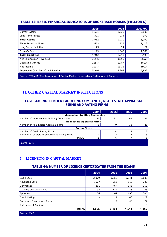## **TABLE 42: BASIC FINANCIAL INDICATORS OF BROKERAGE HOUSES (MILLION \$)**

|                                   | 2005  | 2006  | 2007/09 |
|-----------------------------------|-------|-------|---------|
| <b>Current Assets</b>             | 1,591 | 1,636 | 2,809   |
| Long Term Assets                  | 321   | 274   | 390     |
| <b>Total Assets</b>               | 1,912 | 1,910 | 3,199   |
| <b>Short Term Liabilities</b>     | 663   | 735   | 1,412   |
| Long Term Liabilities             | 25    | 24    | 27      |
| Owner's Equity                    | 1,119 | 1,048 | 1,589   |
| <b>Total Liabilities</b>          | 1,912 | 1,910 | 3,199   |
| Net Commission Revenues           | 365.6 | 362.5 | 369.8   |
| Operating Income                  | 225.7 | 123.7 | 180.4   |
| Net Income                        | 203.7 | 131.2 | 190.4   |
| Employees (Number of Individuals) | 5,916 | 5,898 | 5,933   |

Source: TSPAKB (The Association of Capital Market Intermediary Institutions of Turkey)

## **4.11. OTHER CAPITAL MARKET INSTITUTIONS**

#### **TABLE 43: INDEPENDENT AUDITING COMPANIES, REAL ESTATE APPRAISAL FIRMS AND RATING FIRMS**

|                                             | 2004 | 2005 | <b>2006</b> | 2007 |
|---------------------------------------------|------|------|-------------|------|
| <b>Independent Auditing Companies</b>       |      |      |             |      |
| Number of Independent Auditing Companies    | 83   | 91   | 94          | 96   |
| <b>Real Estate Appraisal Firms</b>          |      |      |             |      |
| Number of Real Estate Appraisal Firms       | 6    | 9    | 13          | 26   |
| <b>Rating Firms</b>                         |      |      |             |      |
| Number of Credit Rating Firms               |      | 4    |             |      |
| Number of Corporate Governance Rating Firms |      |      |             |      |
| TOTAL                                       | 5    | 6    |             | 8    |
| Source: CMB                                 |      |      |             |      |

## **5. LICENSING IN CAPITAL MARKET**

#### **TABLE 44: NUMBER OF LICENCE CERTIFICATES FROM THE EXAMS**

|                             | 2004  | 2005  | 2006  | 2007  |
|-----------------------------|-------|-------|-------|-------|
| <b>Basic Level</b>          | 3.379 | 3.852 | 3.041 | 2.630 |
| <b>Advanced Level</b>       | 1.077 | 956   | 810   | 787   |
| Derivatives                 | 261   | 467   | 345   | 352   |
| Clearing and Operations     | 92    | 114   | 75    | 83    |
| Appraisal                   | 56    | 67    | 190   | 306   |
| Credit Rating               | ۰     |       | 40    | 122   |
| Corporate Governance Rating | ۰     | 7     | 43    | 72    |
| Independent Auditing        |       |       |       | 13    |
| <b>TOTAL</b>                | 4.865 | 5.464 | 4.544 | 4.365 |
| Source: CMB                 |       |       |       |       |